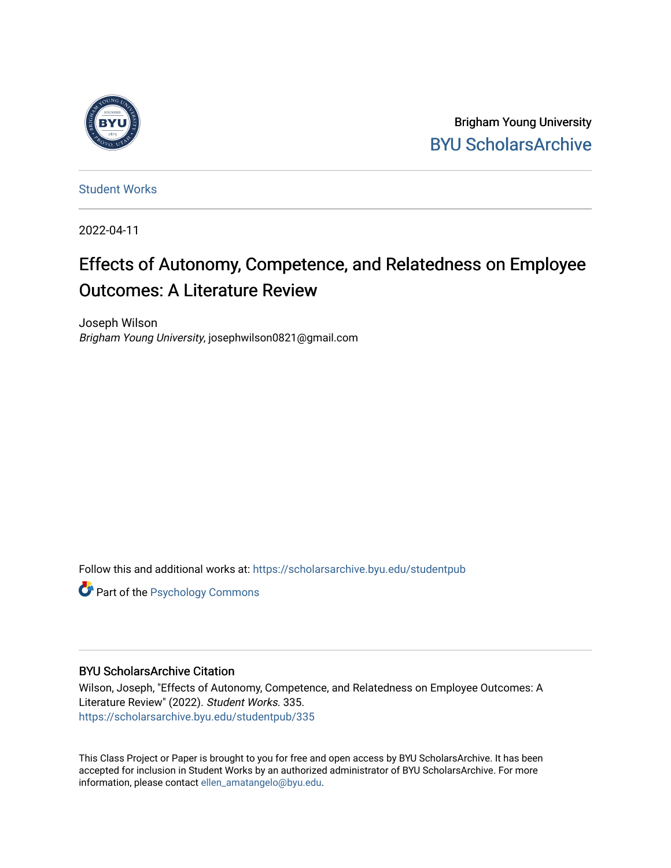

Brigham Young University [BYU ScholarsArchive](https://scholarsarchive.byu.edu/) 

[Student Works](https://scholarsarchive.byu.edu/studentpub)

2022-04-11

# Effects of Autonomy, Competence, and Relatedness on Employee Outcomes: A Literature Review

Joseph Wilson Brigham Young University, josephwilson0821@gmail.com

Follow this and additional works at: [https://scholarsarchive.byu.edu/studentpub](https://scholarsarchive.byu.edu/studentpub?utm_source=scholarsarchive.byu.edu%2Fstudentpub%2F335&utm_medium=PDF&utm_campaign=PDFCoverPages)

**Part of the Psychology Commons** 

#### BYU ScholarsArchive Citation

Wilson, Joseph, "Effects of Autonomy, Competence, and Relatedness on Employee Outcomes: A Literature Review" (2022). Student Works. 335. [https://scholarsarchive.byu.edu/studentpub/335](https://scholarsarchive.byu.edu/studentpub/335?utm_source=scholarsarchive.byu.edu%2Fstudentpub%2F335&utm_medium=PDF&utm_campaign=PDFCoverPages)

This Class Project or Paper is brought to you for free and open access by BYU ScholarsArchive. It has been accepted for inclusion in Student Works by an authorized administrator of BYU ScholarsArchive. For more information, please contact [ellen\\_amatangelo@byu.edu.](mailto:ellen_amatangelo@byu.edu)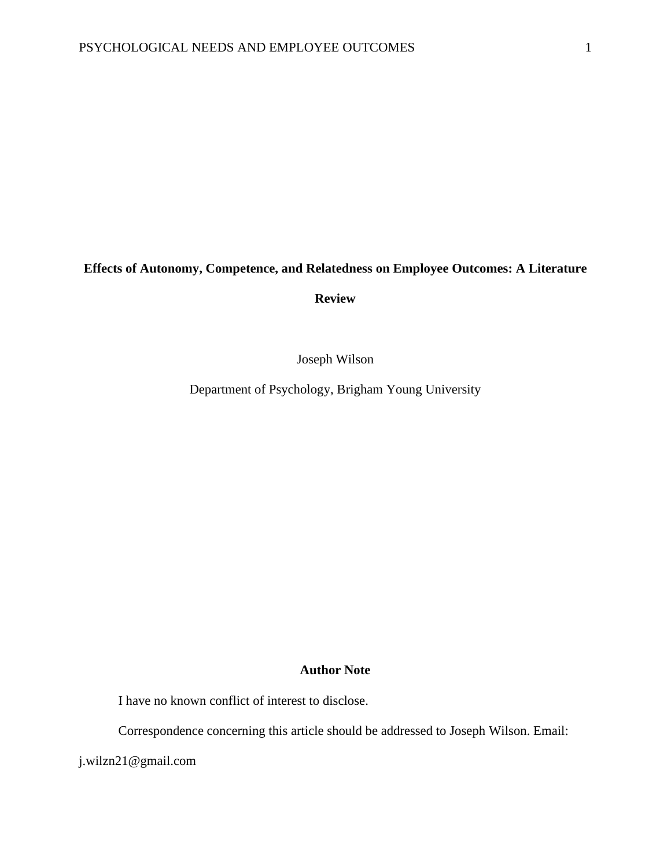## **Effects of Autonomy, Competence, and Relatedness on Employee Outcomes: A Literature**

**Review**

Joseph Wilson

Department of Psychology, Brigham Young University

### **Author Note**

I have no known conflict of interest to disclose.

Correspondence concerning this article should be addressed to Joseph Wilson. Email:

j.wilzn21@gmail.com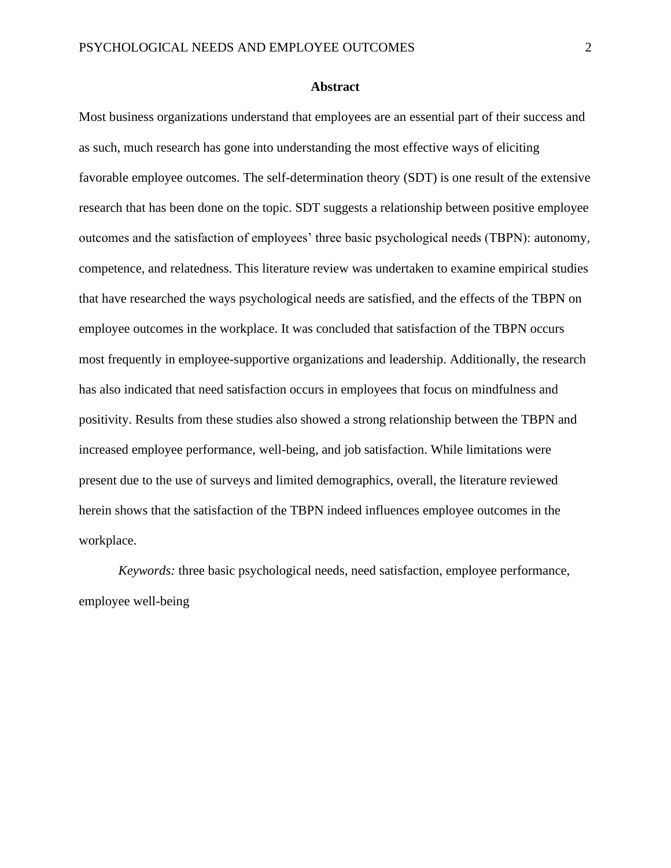#### **Abstract**

Most business organizations understand that employees are an essential part of their success and as such, much research has gone into understanding the most effective ways of eliciting favorable employee outcomes. The self-determination theory (SDT) is one result of the extensive research that has been done on the topic. SDT suggests a relationship between positive employee outcomes and the satisfaction of employees' three basic psychological needs (TBPN): autonomy, competence, and relatedness. This literature review was undertaken to examine empirical studies that have researched the ways psychological needs are satisfied, and the effects of the TBPN on employee outcomes in the workplace. It was concluded that satisfaction of the TBPN occurs most frequently in employee-supportive organizations and leadership. Additionally, the research has also indicated that need satisfaction occurs in employees that focus on mindfulness and positivity. Results from these studies also showed a strong relationship between the TBPN and increased employee performance, well-being, and job satisfaction. While limitations were present due to the use of surveys and limited demographics, overall, the literature reviewed herein shows that the satisfaction of the TBPN indeed influences employee outcomes in the workplace.

*Keywords:* three basic psychological needs, need satisfaction, employee performance, employee well-being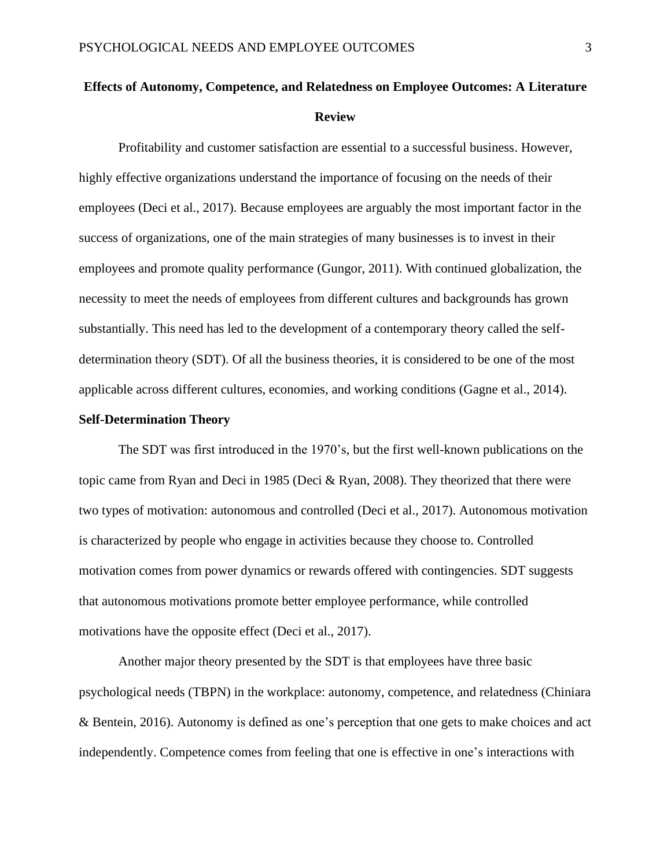## **Effects of Autonomy, Competence, and Relatedness on Employee Outcomes: A Literature Review**

Profitability and customer satisfaction are essential to a successful business. However, highly effective organizations understand the importance of focusing on the needs of their employees (Deci et al., 2017). Because employees are arguably the most important factor in the success of organizations, one of the main strategies of many businesses is to invest in their employees and promote quality performance (Gungor, 2011). With continued globalization, the necessity to meet the needs of employees from different cultures and backgrounds has grown substantially. This need has led to the development of a contemporary theory called the selfdetermination theory (SDT). Of all the business theories, it is considered to be one of the most applicable across different cultures, economies, and working conditions (Gagne et al., 2014).

#### **Self-Determination Theory**

The SDT was first introduced in the 1970's, but the first well-known publications on the topic came from Ryan and Deci in 1985 (Deci & Ryan, 2008). They theorized that there were two types of motivation: autonomous and controlled (Deci et al., 2017). Autonomous motivation is characterized by people who engage in activities because they choose to. Controlled motivation comes from power dynamics or rewards offered with contingencies. SDT suggests that autonomous motivations promote better employee performance, while controlled motivations have the opposite effect (Deci et al., 2017).

Another major theory presented by the SDT is that employees have three basic psychological needs (TBPN) in the workplace: autonomy, competence, and relatedness (Chiniara & Bentein, 2016). Autonomy is defined as one's perception that one gets to make choices and act independently. Competence comes from feeling that one is effective in one's interactions with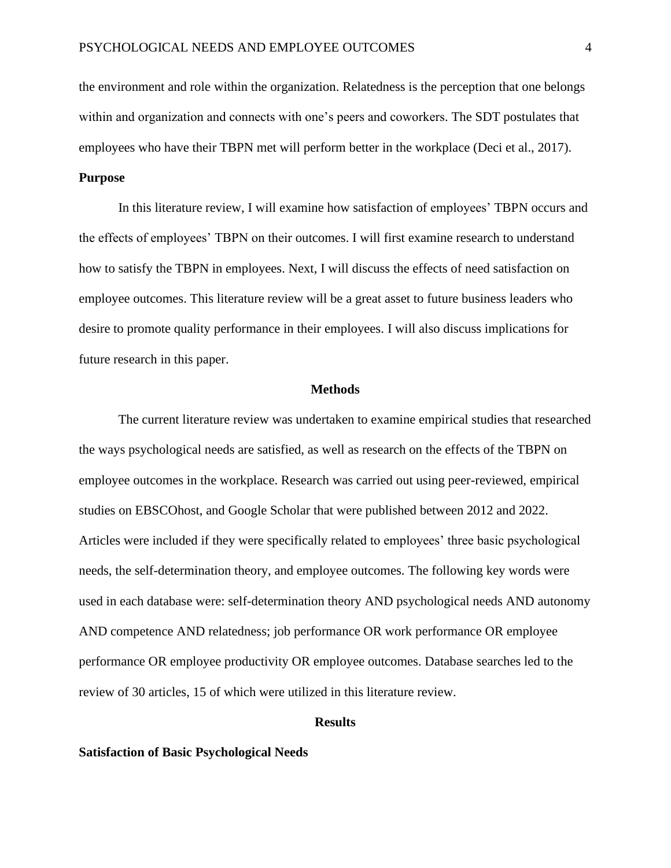the environment and role within the organization. Relatedness is the perception that one belongs within and organization and connects with one's peers and coworkers. The SDT postulates that employees who have their TBPN met will perform better in the workplace (Deci et al., 2017).

#### **Purpose**

In this literature review, I will examine how satisfaction of employees' TBPN occurs and the effects of employees' TBPN on their outcomes. I will first examine research to understand how to satisfy the TBPN in employees. Next, I will discuss the effects of need satisfaction on employee outcomes. This literature review will be a great asset to future business leaders who desire to promote quality performance in their employees. I will also discuss implications for future research in this paper.

#### **Methods**

The current literature review was undertaken to examine empirical studies that researched the ways psychological needs are satisfied, as well as research on the effects of the TBPN on employee outcomes in the workplace. Research was carried out using peer-reviewed, empirical studies on EBSCOhost, and Google Scholar that were published between 2012 and 2022. Articles were included if they were specifically related to employees' three basic psychological needs, the self-determination theory, and employee outcomes. The following key words were used in each database were: self-determination theory AND psychological needs AND autonomy AND competence AND relatedness; job performance OR work performance OR employee performance OR employee productivity OR employee outcomes. Database searches led to the review of 30 articles, 15 of which were utilized in this literature review.

#### **Results**

#### **Satisfaction of Basic Psychological Needs**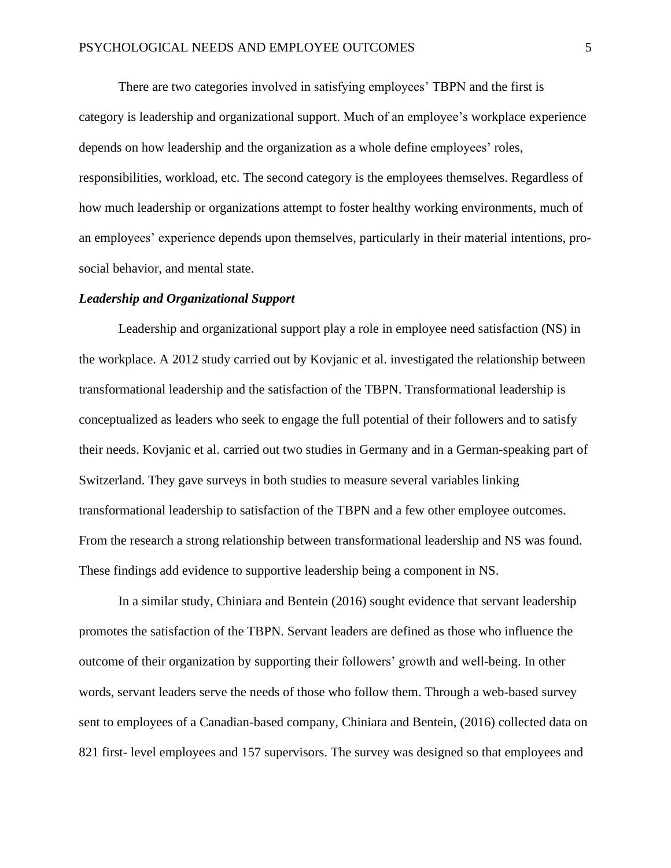There are two categories involved in satisfying employees' TBPN and the first is category is leadership and organizational support. Much of an employee's workplace experience depends on how leadership and the organization as a whole define employees' roles, responsibilities, workload, etc. The second category is the employees themselves. Regardless of how much leadership or organizations attempt to foster healthy working environments, much of an employees' experience depends upon themselves, particularly in their material intentions, prosocial behavior, and mental state.

#### *Leadership and Organizational Support*

Leadership and organizational support play a role in employee need satisfaction (NS) in the workplace. A 2012 study carried out by Kovjanic et al. investigated the relationship between transformational leadership and the satisfaction of the TBPN. Transformational leadership is conceptualized as leaders who seek to engage the full potential of their followers and to satisfy their needs. Kovjanic et al. carried out two studies in Germany and in a German-speaking part of Switzerland. They gave surveys in both studies to measure several variables linking transformational leadership to satisfaction of the TBPN and a few other employee outcomes. From the research a strong relationship between transformational leadership and NS was found. These findings add evidence to supportive leadership being a component in NS.

In a similar study, Chiniara and Bentein (2016) sought evidence that servant leadership promotes the satisfaction of the TBPN. Servant leaders are defined as those who influence the outcome of their organization by supporting their followers' growth and well-being. In other words, servant leaders serve the needs of those who follow them. Through a web-based survey sent to employees of a Canadian-based company, Chiniara and Bentein, (2016) collected data on 821 first- level employees and 157 supervisors. The survey was designed so that employees and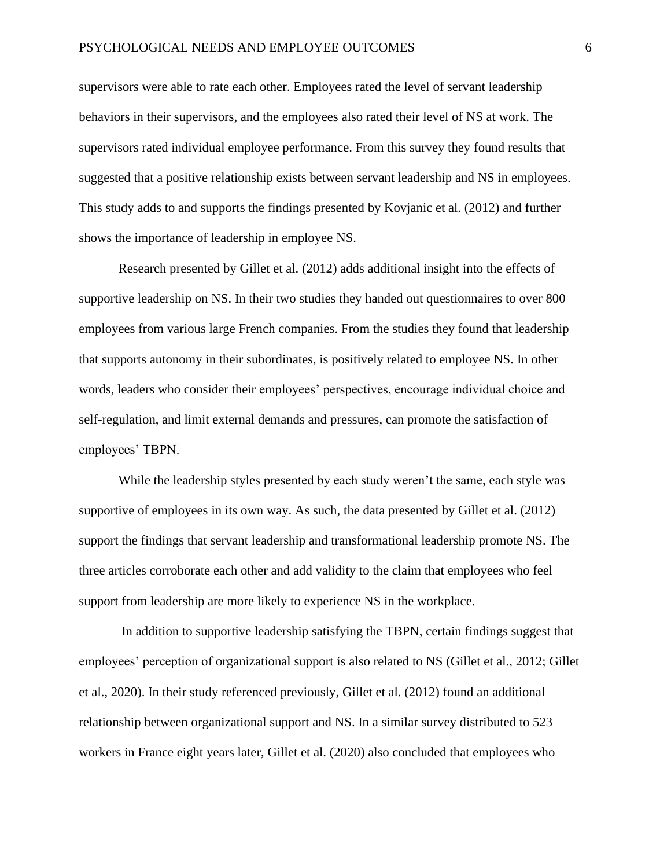supervisors were able to rate each other. Employees rated the level of servant leadership behaviors in their supervisors, and the employees also rated their level of NS at work. The supervisors rated individual employee performance. From this survey they found results that suggested that a positive relationship exists between servant leadership and NS in employees. This study adds to and supports the findings presented by Kovjanic et al. (2012) and further shows the importance of leadership in employee NS.

Research presented by Gillet et al. (2012) adds additional insight into the effects of supportive leadership on NS. In their two studies they handed out questionnaires to over 800 employees from various large French companies. From the studies they found that leadership that supports autonomy in their subordinates, is positively related to employee NS. In other words, leaders who consider their employees' perspectives, encourage individual choice and self-regulation, and limit external demands and pressures, can promote the satisfaction of employees' TBPN.

While the leadership styles presented by each study weren't the same, each style was supportive of employees in its own way. As such, the data presented by Gillet et al. (2012) support the findings that servant leadership and transformational leadership promote NS. The three articles corroborate each other and add validity to the claim that employees who feel support from leadership are more likely to experience NS in the workplace.

In addition to supportive leadership satisfying the TBPN, certain findings suggest that employees' perception of organizational support is also related to NS (Gillet et al., 2012; Gillet et al., 2020). In their study referenced previously, Gillet et al. (2012) found an additional relationship between organizational support and NS. In a similar survey distributed to 523 workers in France eight years later, Gillet et al. (2020) also concluded that employees who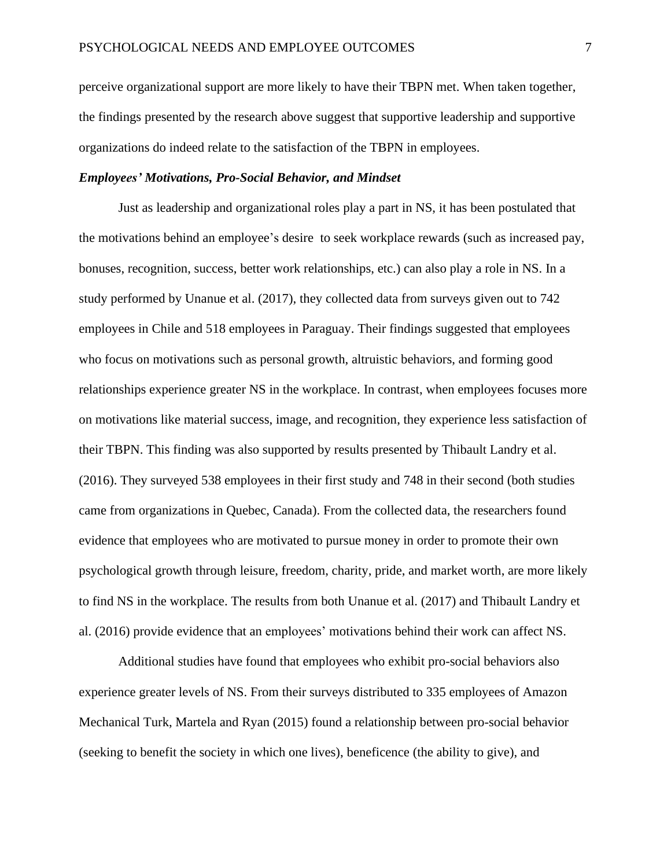perceive organizational support are more likely to have their TBPN met. When taken together, the findings presented by the research above suggest that supportive leadership and supportive organizations do indeed relate to the satisfaction of the TBPN in employees.

#### *Employees' Motivations, Pro-Social Behavior, and Mindset*

Just as leadership and organizational roles play a part in NS, it has been postulated that the motivations behind an employee's desire to seek workplace rewards (such as increased pay, bonuses, recognition, success, better work relationships, etc.) can also play a role in NS. In a study performed by Unanue et al. (2017), they collected data from surveys given out to 742 employees in Chile and 518 employees in Paraguay. Their findings suggested that employees who focus on motivations such as personal growth, altruistic behaviors, and forming good relationships experience greater NS in the workplace. In contrast, when employees focuses more on motivations like material success, image, and recognition, they experience less satisfaction of their TBPN. This finding was also supported by results presented by Thibault Landry et al. (2016). They surveyed 538 employees in their first study and 748 in their second (both studies came from organizations in Quebec, Canada). From the collected data, the researchers found evidence that employees who are motivated to pursue money in order to promote their own psychological growth through leisure, freedom, charity, pride, and market worth, are more likely to find NS in the workplace. The results from both Unanue et al. (2017) and Thibault Landry et al. (2016) provide evidence that an employees' motivations behind their work can affect NS.

Additional studies have found that employees who exhibit pro-social behaviors also experience greater levels of NS. From their surveys distributed to 335 employees of Amazon Mechanical Turk, Martela and Ryan (2015) found a relationship between pro-social behavior (seeking to benefit the society in which one lives), beneficence (the ability to give), and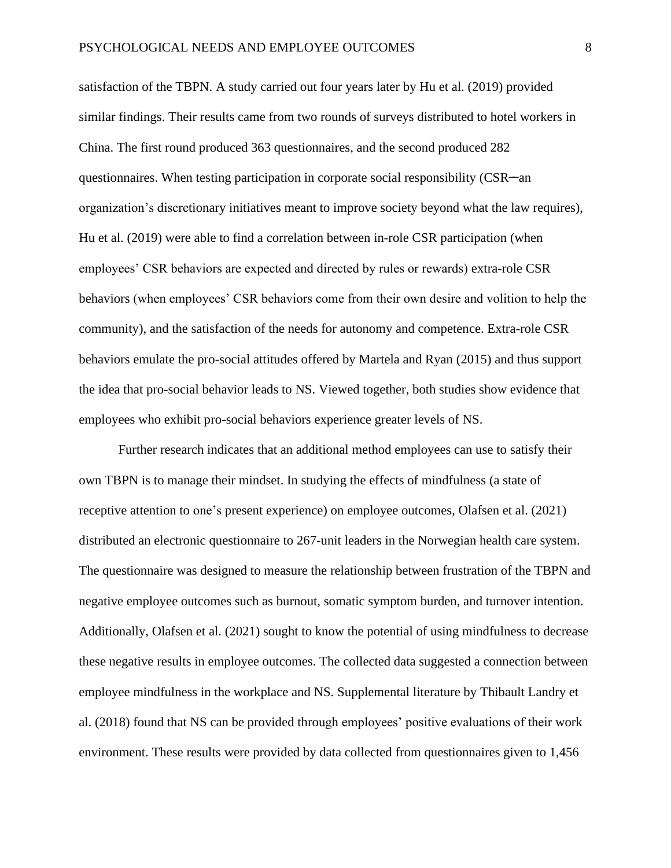satisfaction of the TBPN. A study carried out four years later by Hu et al. (2019) provided similar findings. Their results came from two rounds of surveys distributed to hotel workers in China. The first round produced 363 questionnaires, and the second produced 282 questionnaires. When testing participation in corporate social responsibility (CSR-an organization's discretionary initiatives meant to improve society beyond what the law requires), Hu et al. (2019) were able to find a correlation between in-role CSR participation (when employees' CSR behaviors are expected and directed by rules or rewards) extra-role CSR behaviors (when employees' CSR behaviors come from their own desire and volition to help the community), and the satisfaction of the needs for autonomy and competence. Extra-role CSR behaviors emulate the pro-social attitudes offered by Martela and Ryan (2015) and thus support the idea that pro-social behavior leads to NS. Viewed together, both studies show evidence that employees who exhibit pro-social behaviors experience greater levels of NS.

Further research indicates that an additional method employees can use to satisfy their own TBPN is to manage their mindset. In studying the effects of mindfulness (a state of receptive attention to one's present experience) on employee outcomes, Olafsen et al. (2021) distributed an electronic questionnaire to 267-unit leaders in the Norwegian health care system. The questionnaire was designed to measure the relationship between frustration of the TBPN and negative employee outcomes such as burnout, somatic symptom burden, and turnover intention. Additionally, Olafsen et al. (2021) sought to know the potential of using mindfulness to decrease these negative results in employee outcomes. The collected data suggested a connection between employee mindfulness in the workplace and NS. Supplemental literature by Thibault Landry et al. (2018) found that NS can be provided through employees' positive evaluations of their work environment. These results were provided by data collected from questionnaires given to 1,456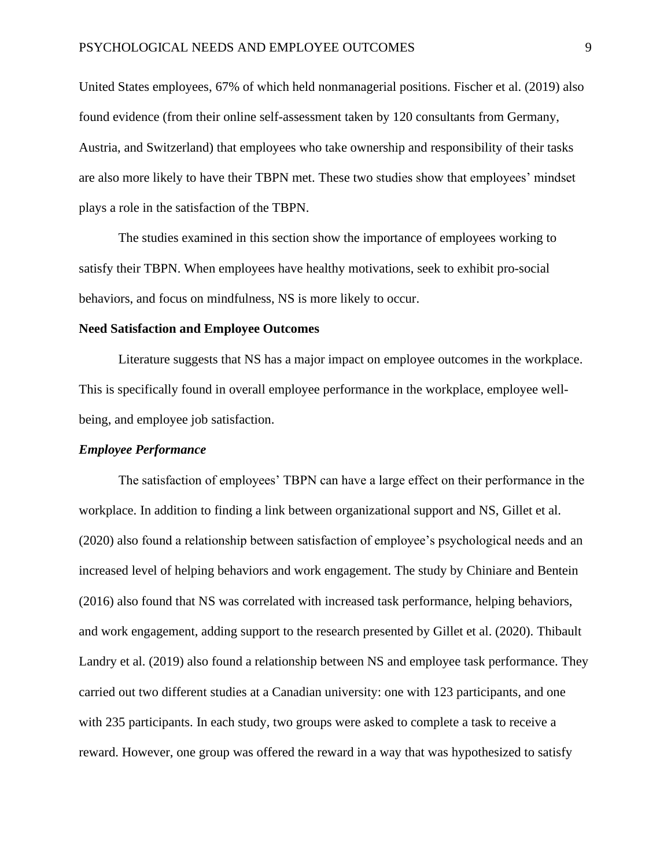United States employees, 67% of which held nonmanagerial positions. Fischer et al. (2019) also found evidence (from their online self-assessment taken by 120 consultants from Germany, Austria, and Switzerland) that employees who take ownership and responsibility of their tasks are also more likely to have their TBPN met. These two studies show that employees' mindset plays a role in the satisfaction of the TBPN.

The studies examined in this section show the importance of employees working to satisfy their TBPN. When employees have healthy motivations, seek to exhibit pro-social behaviors, and focus on mindfulness, NS is more likely to occur.

#### **Need Satisfaction and Employee Outcomes**

Literature suggests that NS has a major impact on employee outcomes in the workplace. This is specifically found in overall employee performance in the workplace, employee wellbeing, and employee job satisfaction.

#### *Employee Performance*

The satisfaction of employees' TBPN can have a large effect on their performance in the workplace. In addition to finding a link between organizational support and NS, Gillet et al. (2020) also found a relationship between satisfaction of employee's psychological needs and an increased level of helping behaviors and work engagement. The study by Chiniare and Bentein (2016) also found that NS was correlated with increased task performance, helping behaviors, and work engagement, adding support to the research presented by Gillet et al. (2020). Thibault Landry et al. (2019) also found a relationship between NS and employee task performance. They carried out two different studies at a Canadian university: one with 123 participants, and one with 235 participants. In each study, two groups were asked to complete a task to receive a reward. However, one group was offered the reward in a way that was hypothesized to satisfy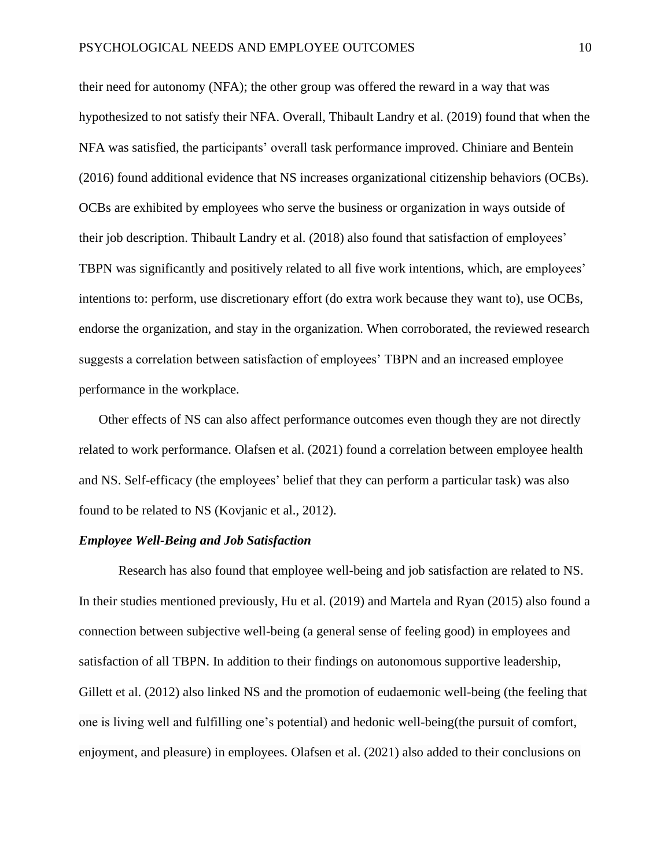their need for autonomy (NFA); the other group was offered the reward in a way that was hypothesized to not satisfy their NFA. Overall, Thibault Landry et al. (2019) found that when the NFA was satisfied, the participants' overall task performance improved. Chiniare and Bentein (2016) found additional evidence that NS increases organizational citizenship behaviors (OCBs). OCBs are exhibited by employees who serve the business or organization in ways outside of their job description. Thibault Landry et al. (2018) also found that satisfaction of employees' TBPN was significantly and positively related to all five work intentions, which, are employees' intentions to: perform, use discretionary effort (do extra work because they want to), use OCBs, endorse the organization, and stay in the organization. When corroborated, the reviewed research suggests a correlation between satisfaction of employees' TBPN and an increased employee performance in the workplace.

Other effects of NS can also affect performance outcomes even though they are not directly related to work performance. Olafsen et al. (2021) found a correlation between employee health and NS. Self-efficacy (the employees' belief that they can perform a particular task) was also found to be related to NS (Kovjanic et al., 2012).

#### *Employee Well-Being and Job Satisfaction*

Research has also found that employee well-being and job satisfaction are related to NS. In their studies mentioned previously, Hu et al. (2019) and Martela and Ryan (2015) also found a connection between subjective well-being (a general sense of feeling good) in employees and satisfaction of all TBPN. In addition to their findings on autonomous supportive leadership, Gillett et al. (2012) also linked NS and the promotion of eudaemonic well-being (the feeling that one is living well and fulfilling one's potential) and hedonic well-being(the pursuit of comfort, enjoyment, and pleasure) in employees. Olafsen et al. (2021) also added to their conclusions on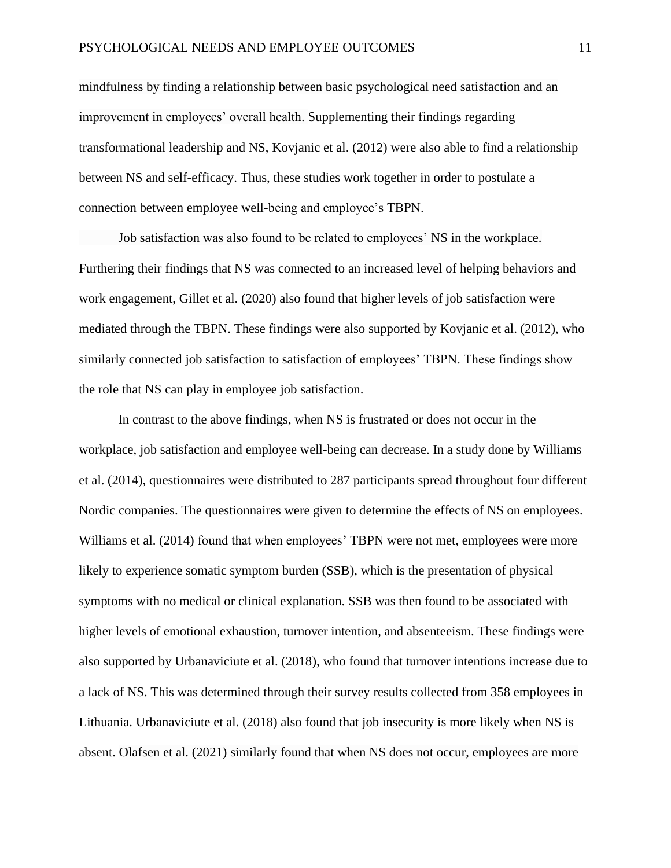mindfulness by finding a relationship between basic psychological need satisfaction and an improvement in employees' overall health. Supplementing their findings regarding transformational leadership and NS, Kovjanic et al. (2012) were also able to find a relationship between NS and self-efficacy. Thus, these studies work together in order to postulate a connection between employee well-being and employee's TBPN.

Job satisfaction was also found to be related to employees' NS in the workplace. Furthering their findings that NS was connected to an increased level of helping behaviors and work engagement, Gillet et al. (2020) also found that higher levels of job satisfaction were mediated through the TBPN. These findings were also supported by Kovjanic et al. (2012), who similarly connected job satisfaction to satisfaction of employees' TBPN. These findings show the role that NS can play in employee job satisfaction.

In contrast to the above findings, when NS is frustrated or does not occur in the workplace, job satisfaction and employee well-being can decrease. In a study done by Williams et al. (2014), questionnaires were distributed to 287 participants spread throughout four different Nordic companies. The questionnaires were given to determine the effects of NS on employees. Williams et al. (2014) found that when employees' TBPN were not met, employees were more likely to experience somatic symptom burden (SSB), which is the presentation of physical symptoms with no medical or clinical explanation. SSB was then found to be associated with higher levels of emotional exhaustion, turnover intention, and absenteeism. These findings were also supported by Urbanaviciute et al. (2018), who found that turnover intentions increase due to a lack of NS. This was determined through their survey results collected from 358 employees in Lithuania. Urbanaviciute et al. (2018) also found that job insecurity is more likely when NS is absent. Olafsen et al. (2021) similarly found that when NS does not occur, employees are more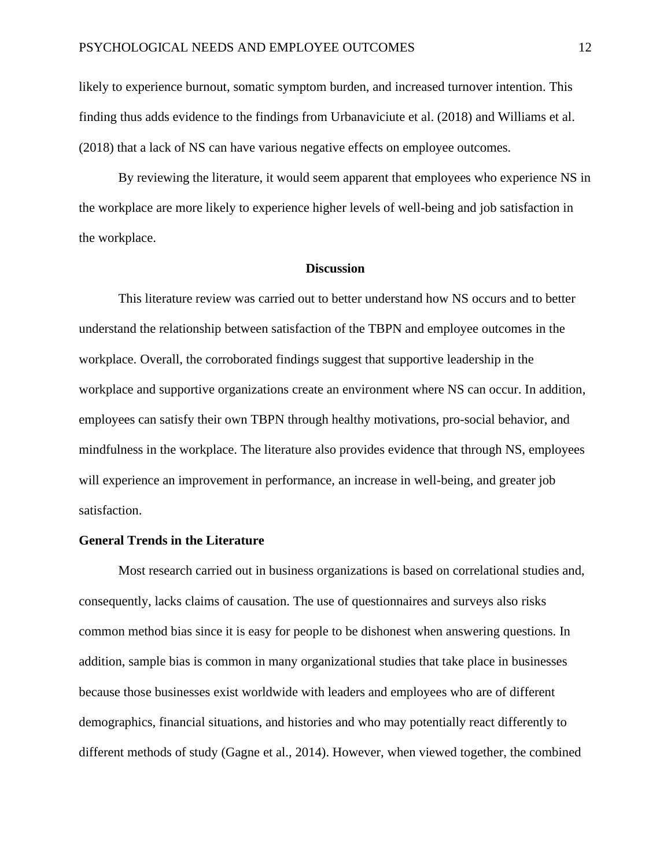likely to experience burnout, somatic symptom burden, and increased turnover intention. This finding thus adds evidence to the findings from Urbanaviciute et al. (2018) and Williams et al. (2018) that a lack of NS can have various negative effects on employee outcomes.

By reviewing the literature, it would seem apparent that employees who experience NS in the workplace are more likely to experience higher levels of well-being and job satisfaction in the workplace.

#### **Discussion**

This literature review was carried out to better understand how NS occurs and to better understand the relationship between satisfaction of the TBPN and employee outcomes in the workplace. Overall, the corroborated findings suggest that supportive leadership in the workplace and supportive organizations create an environment where NS can occur. In addition, employees can satisfy their own TBPN through healthy motivations, pro-social behavior, and mindfulness in the workplace. The literature also provides evidence that through NS, employees will experience an improvement in performance, an increase in well-being, and greater job satisfaction.

#### **General Trends in the Literature**

Most research carried out in business organizations is based on correlational studies and, consequently, lacks claims of causation. The use of questionnaires and surveys also risks common method bias since it is easy for people to be dishonest when answering questions. In addition, sample bias is common in many organizational studies that take place in businesses because those businesses exist worldwide with leaders and employees who are of different demographics, financial situations, and histories and who may potentially react differently to different methods of study (Gagne et al., 2014). However, when viewed together, the combined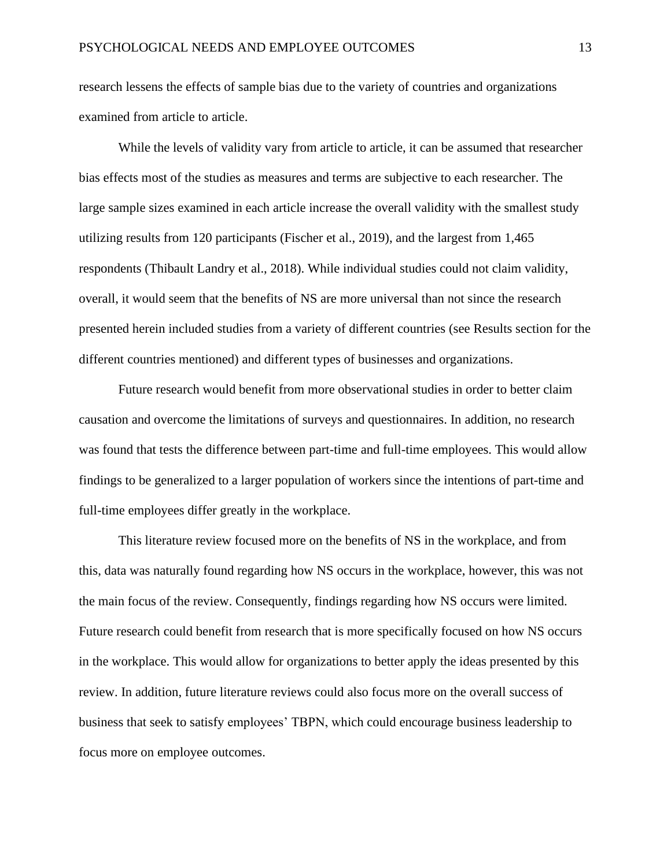research lessens the effects of sample bias due to the variety of countries and organizations examined from article to article.

While the levels of validity vary from article to article, it can be assumed that researcher bias effects most of the studies as measures and terms are subjective to each researcher. The large sample sizes examined in each article increase the overall validity with the smallest study utilizing results from 120 participants (Fischer et al., 2019), and the largest from 1,465 respondents (Thibault Landry et al., 2018). While individual studies could not claim validity, overall, it would seem that the benefits of NS are more universal than not since the research presented herein included studies from a variety of different countries (see Results section for the different countries mentioned) and different types of businesses and organizations.

Future research would benefit from more observational studies in order to better claim causation and overcome the limitations of surveys and questionnaires. In addition, no research was found that tests the difference between part-time and full-time employees. This would allow findings to be generalized to a larger population of workers since the intentions of part-time and full-time employees differ greatly in the workplace.

This literature review focused more on the benefits of NS in the workplace, and from this, data was naturally found regarding how NS occurs in the workplace, however, this was not the main focus of the review. Consequently, findings regarding how NS occurs were limited. Future research could benefit from research that is more specifically focused on how NS occurs in the workplace. This would allow for organizations to better apply the ideas presented by this review. In addition, future literature reviews could also focus more on the overall success of business that seek to satisfy employees' TBPN, which could encourage business leadership to focus more on employee outcomes.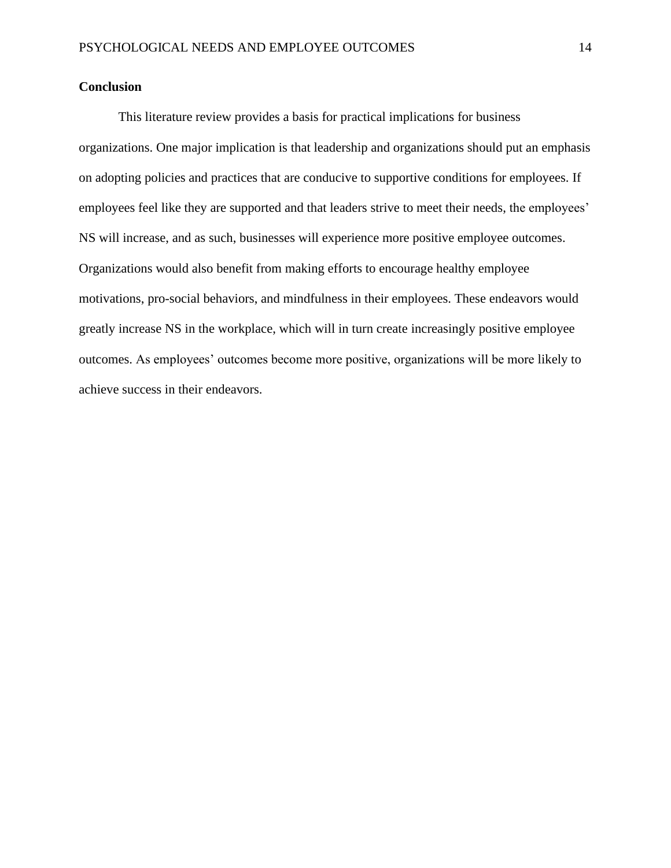#### **Conclusion**

This literature review provides a basis for practical implications for business organizations. One major implication is that leadership and organizations should put an emphasis on adopting policies and practices that are conducive to supportive conditions for employees. If employees feel like they are supported and that leaders strive to meet their needs, the employees' NS will increase, and as such, businesses will experience more positive employee outcomes. Organizations would also benefit from making efforts to encourage healthy employee motivations, pro-social behaviors, and mindfulness in their employees. These endeavors would greatly increase NS in the workplace, which will in turn create increasingly positive employee outcomes. As employees' outcomes become more positive, organizations will be more likely to achieve success in their endeavors.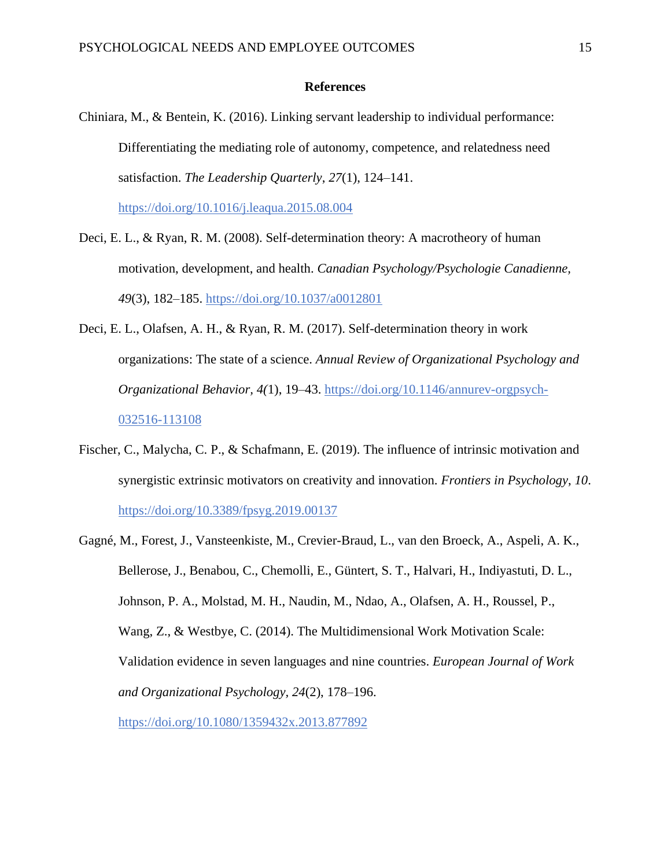#### **References**

Chiniara, M., & Bentein, K. (2016). Linking servant leadership to individual performance: Differentiating the mediating role of autonomy, competence, and relatedness need satisfaction. *The Leadership Quarterly*, *27*(1), 124–141.

<https://doi.org/10.1016/j.leaqua.2015.08.004>

- Deci, E. L., & Ryan, R. M. (2008). Self-determination theory: A macrotheory of human motivation, development, and health. *Canadian Psychology/Psychologie Canadienne, 49*(3), 182–185.<https://doi.org/10.1037/a0012801>
- Deci, E. L., Olafsen, A. H., & Ryan, R. M. (2017). Self-determination theory in work organizations: The state of a science. *Annual Review of Organizational Psychology and Organizational Behavior, 4(*1), 19–43. [https://doi.org/10.1146/annurev-orgpsych-](https://doi.org/10.1146/annurev-orgpsych-032516-113108)[032516-113108](https://doi.org/10.1146/annurev-orgpsych-032516-113108)
- Fischer, C., Malycha, C. P., & Schafmann, E. (2019). The influence of intrinsic motivation and synergistic extrinsic motivators on creativity and innovation. *Frontiers in Psychology*, *10*. <https://doi.org/10.3389/fpsyg.2019.00137>
- Gagné, M., Forest, J., Vansteenkiste, M., Crevier-Braud, L., van den Broeck, A., Aspeli, A. K., Bellerose, J., Benabou, C., Chemolli, E., Güntert, S. T., Halvari, H., Indiyastuti, D. L., Johnson, P. A., Molstad, M. H., Naudin, M., Ndao, A., Olafsen, A. H., Roussel, P., Wang, Z., & Westbye, C. (2014). The Multidimensional Work Motivation Scale: Validation evidence in seven languages and nine countries. *European Journal of Work and Organizational Psychology, 24*(2), 178–196.

<https://doi.org/10.1080/1359432x.2013.877892>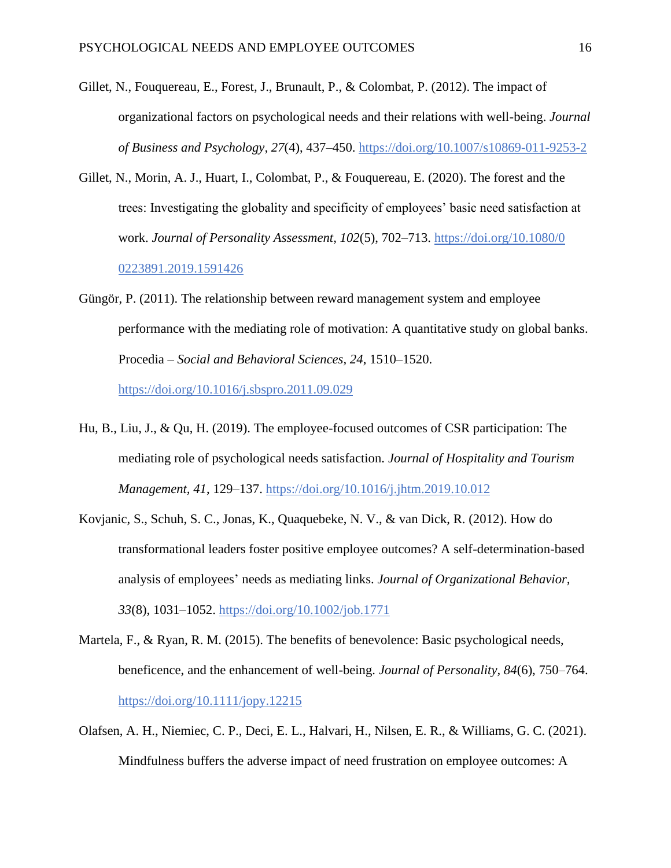- Gillet, N., Fouquereau, E., Forest, J., Brunault, P., & Colombat, P. (2012). The impact of organizational factors on psychological needs and their relations with well-being. *Journal of Business and Psychology, 27*(4), 437–450.<https://doi.org/10.1007/s10869-011-9253-2>
- Gillet, N., Morin, A. J., Huart, I., Colombat, P., & Fouquereau, E. (2020). The forest and the trees: Investigating the globality and specificity of employees' basic need satisfaction at work. *Journal of Personality Assessment, 102*(5), 702–713. [https://doi.org/10.1080/0](https://doi.org/10.1080/0%200223891.2019.1591426)  [0223891.2019.1591426](https://doi.org/10.1080/0%200223891.2019.1591426)
- Güngör, P. (2011). The relationship between reward management system and employee performance with the mediating role of motivation: A quantitative study on global banks. Procedia – *Social and Behavioral Sciences, 24*, 1510–1520. <https://doi.org/10.1016/j.sbspro.2011.09.029>
- Hu, B., Liu, J., & Qu, H. (2019). The employee-focused outcomes of CSR participation: The mediating role of psychological needs satisfaction. *Journal of Hospitality and Tourism Management, 41*, 129–137.<https://doi.org/10.1016/j.jhtm.2019.10.012>
- Kovjanic, S., Schuh, S. C., Jonas, K., Quaquebeke, N. V., & van Dick, R. (2012). How do transformational leaders foster positive employee outcomes? A self-determination-based analysis of employees' needs as mediating links. *Journal of Organizational Behavior, 33*(8), 1031–1052.<https://doi.org/10.1002/job.1771>
- Martela, F., & Ryan, R. M. (2015). The benefits of benevolence: Basic psychological needs, beneficence, and the enhancement of well-being. *Journal of Personality, 84*(6), 750–764. <https://doi.org/10.1111/jopy.12215>
- Olafsen, A. H., Niemiec, C. P., Deci, E. L., Halvari, H., Nilsen, E. R., & Williams, G. C. (2021). Mindfulness buffers the adverse impact of need frustration on employee outcomes: A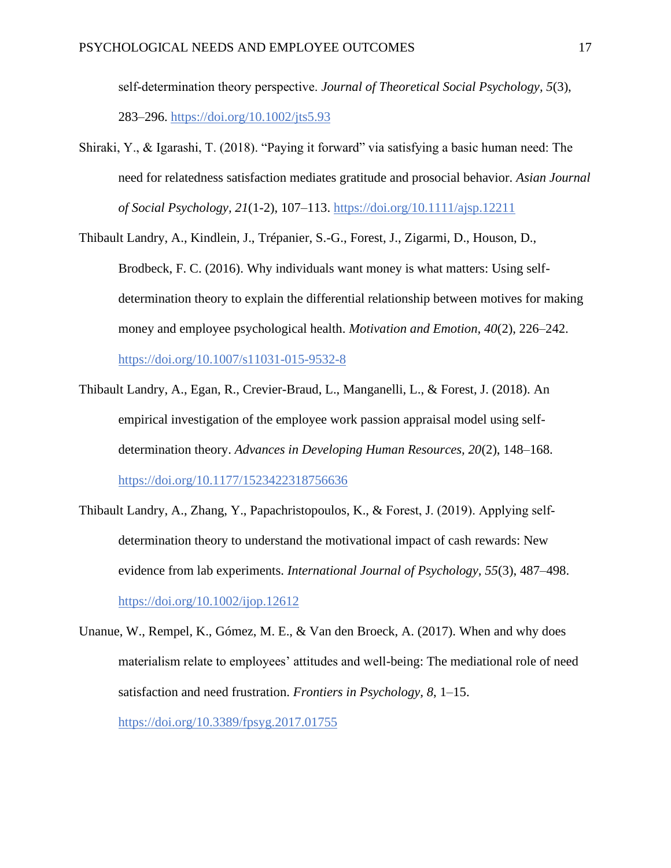self‐determination theory perspective. *Journal of Theoretical Social Psychology, 5*(3), 283–296.<https://doi.org/10.1002/jts5.93>

Shiraki, Y., & Igarashi, T. (2018). "Paying it forward" via satisfying a basic human need: The need for relatedness satisfaction mediates gratitude and prosocial behavior. *Asian Journal of Social Psychology, 21*(1-2), 107–113.<https://doi.org/10.1111/ajsp.12211>

Thibault Landry, A., Kindlein, J., Trépanier, S.-G., Forest, J., Zigarmi, D., Houson, D., Brodbeck, F. C. (2016). Why individuals want money is what matters: Using selfdetermination theory to explain the differential relationship between motives for making money and employee psychological health. *Motivation and Emotion, 40*(2), 226–242.

<https://doi.org/10.1007/s11031-015-9532-8>

- Thibault Landry, A., Egan, R., Crevier-Braud, L., Manganelli, L., & Forest, J. (2018). An empirical investigation of the employee work passion appraisal model using selfdetermination theory. *Advances in Developing Human Resources, 20*(2), 148–168. <https://doi.org/10.1177/1523422318756636>
- Thibault Landry, A., Zhang, Y., Papachristopoulos, K., & Forest, J. (2019). Applying self‐ determination theory to understand the motivational impact of cash rewards: New evidence from lab experiments. *International Journal of Psychology, 55*(3), 487–498. <https://doi.org/10.1002/ijop.12612>
- Unanue, W., Rempel, K., Gómez, M. E., & Van den Broeck, A. (2017). When and why does materialism relate to employees' attitudes and well-being: The mediational role of need satisfaction and need frustration. *Frontiers in Psychology, 8*, 1–15. <https://doi.org/10.3389/fpsyg.2017.01755>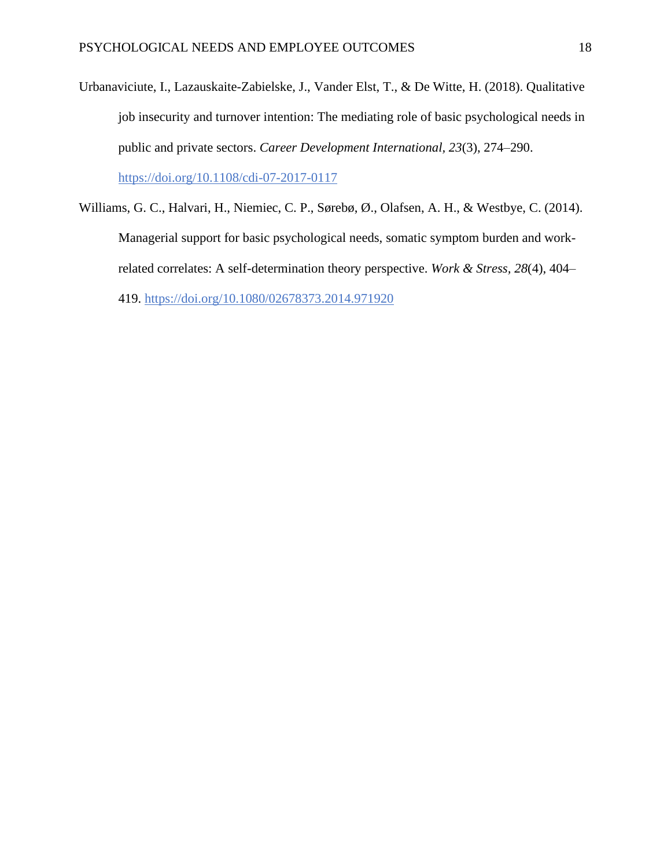- Urbanaviciute, I., Lazauskaite-Zabielske, J., Vander Elst, T., & De Witte, H. (2018). Qualitative job insecurity and turnover intention: The mediating role of basic psychological needs in public and private sectors. *Career Development International, 23*(3), 274–290. <https://doi.org/10.1108/cdi-07-2017-0117>
- Williams, G. C., Halvari, H., Niemiec, C. P., Sørebø, Ø., Olafsen, A. H., & Westbye, C. (2014). Managerial support for basic psychological needs, somatic symptom burden and workrelated correlates: A self-determination theory perspective. *Work & Stress, 28*(4), 404– 419.<https://doi.org/10.1080/02678373.2014.971920>